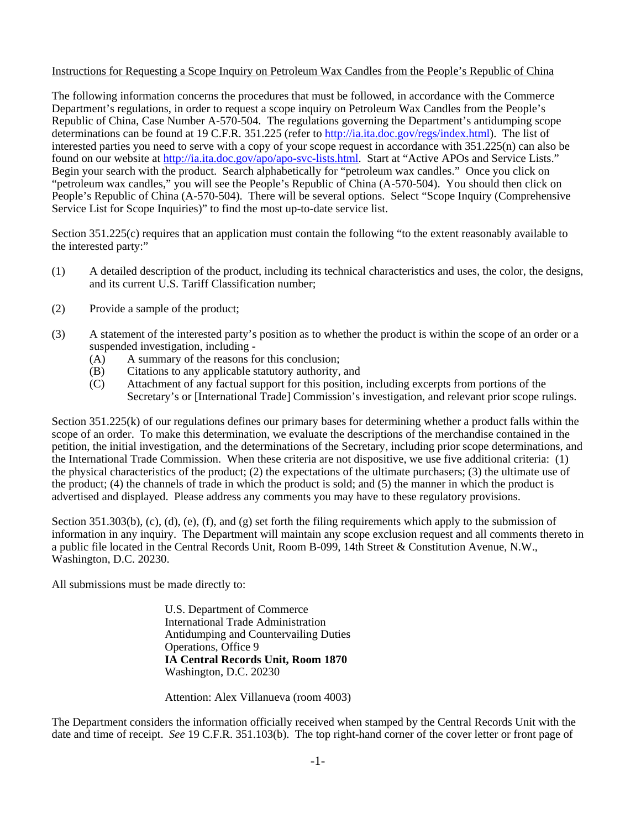## Instructions for Requesting a Scope Inquiry on Petroleum Wax Candles from the People's Republic of China

The following information concerns the procedures that must be followed, in accordance with the Commerce Department's regulations, in order to request a scope inquiry on Petroleum Wax Candles from the People's Republic of China, Case Number A-570-504. The regulations governing the Department's antidumping scope determinations can be found at 19 C.F.R. 351.225 (refer to http://ia.ita.doc.gov/regs/index.html). The list of interested parties you need to serve with a copy of your scope request in accordance with 351.225(n) can also be found on our website at http://ia.ita.doc.gov/apo/apo-svc-lists.html. Start at "Active APOs and Service Lists." Begin your search with the product. Search alphabetically for "petroleum wax candles." Once you click on "petroleum wax candles," you will see the People's Republic of China (A-570-504). You should then click on People's Republic of China (A-570-504). There will be several options. Select "Scope Inquiry (Comprehensive Service List for Scope Inquiries)" to find the most up-to-date service list.

Section 351.225(c) requires that an application must contain the following "to the extent reasonably available to the interested party:"

- (1) A detailed description of the product, including its technical characteristics and uses, the color, the designs, and its current U.S. Tariff Classification number;
- (2) Provide a sample of the product;
- (3) A statement of the interested party's position as to whether the product is within the scope of an order or a suspended investigation, including -
	- $(A)$  A summary of the reasons for this conclusion:
	- (B) Citations to any applicable statutory authority, and
	- (C) Attachment of any factual support for this position, including excerpts from portions of the Secretary's or [International Trade] Commission's investigation, and relevant prior scope rulings.

Section 351.225(k) of our regulations defines our primary bases for determining whether a product falls within the scope of an order. To make this determination, we evaluate the descriptions of the merchandise contained in the petition, the initial investigation, and the determinations of the Secretary, including prior scope determinations, and the International Trade Commission. When these criteria are not dispositive, we use five additional criteria: (1) the physical characteristics of the product; (2) the expectations of the ultimate purchasers; (3) the ultimate use of the product; (4) the channels of trade in which the product is sold; and (5) the manner in which the product is advertised and displayed. Please address any comments you may have to these regulatory provisions.

Section 351.303(b), (c), (d), (e), (f), and (g) set forth the filing requirements which apply to the submission of information in any inquiry. The Department will maintain any scope exclusion request and all comments thereto in a public file located in the Central Records Unit, Room B-099, 14th Street & Constitution Avenue, N.W., Washington, D.C. 20230.

All submissions must be made directly to:

 U.S. Department of Commerce International Trade Administration Antidumping and Countervailing Duties Operations, Office 9 **IA Central Records Unit, Room 1870** Washington, D.C. 20230

Attention: Alex Villanueva (room 4003)

The Department considers the information officially received when stamped by the Central Records Unit with the date and time of receipt. *See* 19 C.F.R. 351.103(b). The top right-hand corner of the cover letter or front page of